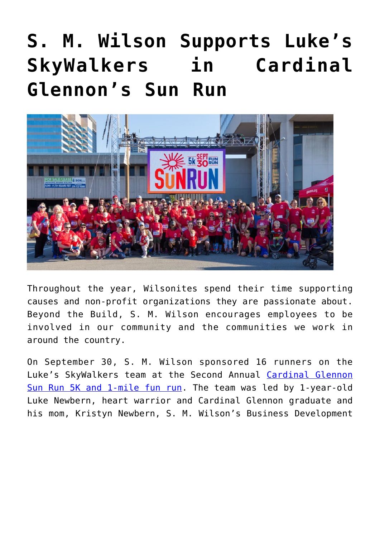## **[S. M. Wilson Supports Luke's](https://smwilson.com/news/s-m-wilson-supports-lukes-skywalkers-in-cardinal-glennons-sun-run) [SkyWalkers in Cardinal](https://smwilson.com/news/s-m-wilson-supports-lukes-skywalkers-in-cardinal-glennons-sun-run) [Glennon's Sun Run](https://smwilson.com/news/s-m-wilson-supports-lukes-skywalkers-in-cardinal-glennons-sun-run)**



Throughout the year, Wilsonites spend their time supporting causes and non-profit organizations they are passionate about. Beyond the Build, S. M. Wilson encourages employees to be involved in our community and the communities we work in around the country.

On September 30, S. M. Wilson sponsored 16 runners on the Luke's SkyWalkers team at the Second Annual [Cardinal Glennon](https://www.glennon.org/sunrun/) [Sun Run 5K and 1-mile fun run](https://www.glennon.org/sunrun/). The team was led by 1-year-old Luke Newbern, heart warrior and Cardinal Glennon graduate and his mom, Kristyn Newbern, S. M. Wilson's Business Development